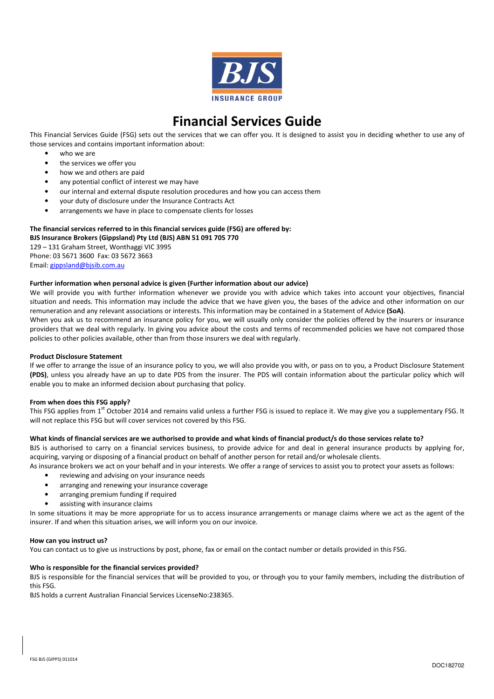

# Financial Services Guide

This Financial Services Guide (FSG) sets out the services that we can offer you. It is designed to assist you in deciding whether to use any of those services and contains important information about:

- who we are
- the services we offer you
- how we and others are paid
- any potential conflict of interest we may have
- our internal and external dispute resolution procedures and how you can access them
- your duty of disclosure under the Insurance Contracts Act
- arrangements we have in place to compensate clients for losses

# The financial services referred to in this financial services guide (FSG) are offered by:

BJS Insurance Brokers (Gippsland) Pty Ltd (BJS) ABN 51 091 705 770

129 – 131 Graham Street, Wonthaggi VIC 3995 Phone: 03 5671 3600 Fax: 03 5672 3663 Email: gippsland@bjsib.com.au

## Further information when personal advice is given (Further information about our advice)

We will provide you with further information whenever we provide you with advice which takes into account your objectives, financial situation and needs. This information may include the advice that we have given you, the bases of the advice and other information on our remuneration and any relevant associations or interests. This information may be contained in a Statement of Advice (SoA).

When you ask us to recommend an insurance policy for you, we will usually only consider the policies offered by the insurers or insurance providers that we deal with regularly. In giving you advice about the costs and terms of recommended policies we have not compared those policies to other policies available, other than from those insurers we deal with regularly.

### Product Disclosure Statement

If we offer to arrange the issue of an insurance policy to you, we will also provide you with, or pass on to you, a Product Disclosure Statement (PDS), unless you already have an up to date PDS from the insurer. The PDS will contain information about the particular policy which will enable you to make an informed decision about purchasing that policy.

### From when does this FSG apply?

This FSG applies from 1<sup>st</sup> October 2014 and remains valid unless a further FSG is issued to replace it. We may give you a supplementary FSG. It will not replace this FSG but will cover services not covered by this FSG.

### What kinds of financial services are we authorised to provide and what kinds of financial product/s do those services relate to?

BJS is authorised to carry on a financial services business, to provide advice for and deal in general insurance products by applying for, acquiring, varying or disposing of a financial product on behalf of another person for retail and/or wholesale clients.

As insurance brokers we act on your behalf and in your interests. We offer a range of services to assist you to protect your assets as follows:

- reviewing and advising on your insurance needs
- arranging and renewing your insurance coverage
- arranging premium funding if required
- assisting with insurance claims

In some situations it may be more appropriate for us to access insurance arrangements or manage claims where we act as the agent of the insurer. If and when this situation arises, we will inform you on our invoice.

### How can you instruct us?

You can contact us to give us instructions by post, phone, fax or email on the contact number or details provided in this FSG.

# Who is responsible for the financial services provided?

BJS is responsible for the financial services that will be provided to you, or through you to your family members, including the distribution of this FSG.

BJS holds a current Australian Financial Services LicenseNo:238365.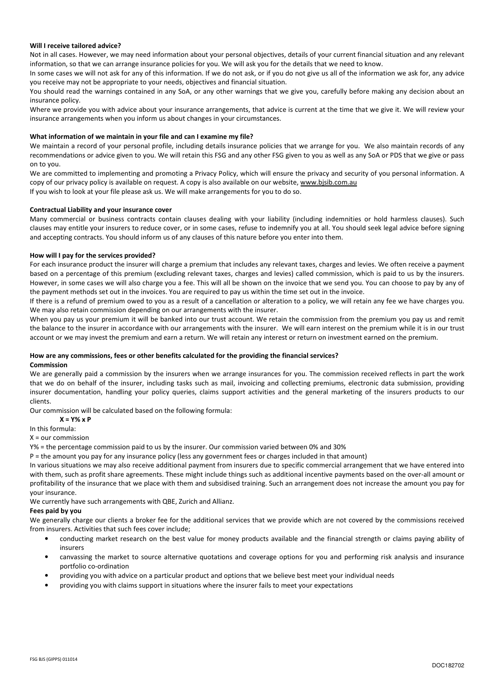## Will I receive tailored advice?

Not in all cases. However, we may need information about your personal objectives, details of your current financial situation and any relevant information, so that we can arrange insurance policies for you. We will ask you for the details that we need to know.

In some cases we will not ask for any of this information. If we do not ask, or if you do not give us all of the information we ask for, any advice you receive may not be appropriate to your needs, objectives and financial situation.

You should read the warnings contained in any SoA, or any other warnings that we give you, carefully before making any decision about an insurance policy.

Where we provide you with advice about your insurance arrangements, that advice is current at the time that we give it. We will review your insurance arrangements when you inform us about changes in your circumstances.

## What information of we maintain in your file and can I examine my file?

We maintain a record of your personal profile, including details insurance policies that we arrange for you. We also maintain records of any recommendations or advice given to you. We will retain this FSG and any other FSG given to you as well as any SoA or PDS that we give or pass on to you.

We are committed to implementing and promoting a Privacy Policy, which will ensure the privacy and security of you personal information. A copy of our privacy policy is available on request. A copy is also available on our website, www.bjsib.com.au If you wish to look at your file please ask us. We will make arrangements for you to do so.

Contractual Liability and your insurance cover

Many commercial or business contracts contain clauses dealing with your liability (including indemnities or hold harmless clauses). Such clauses may entitle your insurers to reduce cover, or in some cases, refuse to indemnify you at all. You should seek legal advice before signing and accepting contracts. You should inform us of any clauses of this nature before you enter into them.

## How will I pay for the services provided?

For each insurance product the insurer will charge a premium that includes any relevant taxes, charges and levies. We often receive a payment based on a percentage of this premium (excluding relevant taxes, charges and levies) called commission, which is paid to us by the insurers. However, in some cases we will also charge you a fee. This will all be shown on the invoice that we send you. You can choose to pay by any of the payment methods set out in the invoices. You are required to pay us within the time set out in the invoice.

If there is a refund of premium owed to you as a result of a cancellation or alteration to a policy, we will retain any fee we have charges you. We may also retain commission depending on our arrangements with the insurer.

When you pay us your premium it will be banked into our trust account. We retain the commission from the premium you pay us and remit the balance to the insurer in accordance with our arrangements with the insurer. We will earn interest on the premium while it is in our trust account or we may invest the premium and earn a return. We will retain any interest or return on investment earned on the premium.

### How are any commissions, fees or other benefits calculated for the providing the financial services? Commission

We are generally paid a commission by the insurers when we arrange insurances for you. The commission received reflects in part the work that we do on behalf of the insurer, including tasks such as mail, invoicing and collecting premiums, electronic data submission, providing insurer documentation, handling your policy queries, claims support activities and the general marketing of the insurers products to our clients.

Our commission will be calculated based on the following formula:

 $X = Y\% \times P$ 

In this formula:

X = our commission

Y% = the percentage commission paid to us by the insurer. Our commission varied between 0% and 30%

P = the amount you pay for any insurance policy (less any government fees or charges included in that amount)

In various situations we may also receive additional payment from insurers due to specific commercial arrangement that we have entered into with them, such as profit share agreements. These might include things such as additional incentive payments based on the over-all amount or profitability of the insurance that we place with them and subsidised training. Such an arrangement does not increase the amount you pay for your insurance.

We currently have such arrangements with QBE, Zurich and Allianz.

### Fees paid by you

We generally charge our clients a broker fee for the additional services that we provide which are not covered by the commissions received from insurers. Activities that such fees cover include;

- conducting market research on the best value for money products available and the financial strength or claims paying ability of insurers
- canvassing the market to source alternative quotations and coverage options for you and performing risk analysis and insurance portfolio co-ordination
- providing you with advice on a particular product and options that we believe best meet your individual needs
- providing you with claims support in situations where the insurer fails to meet your expectations